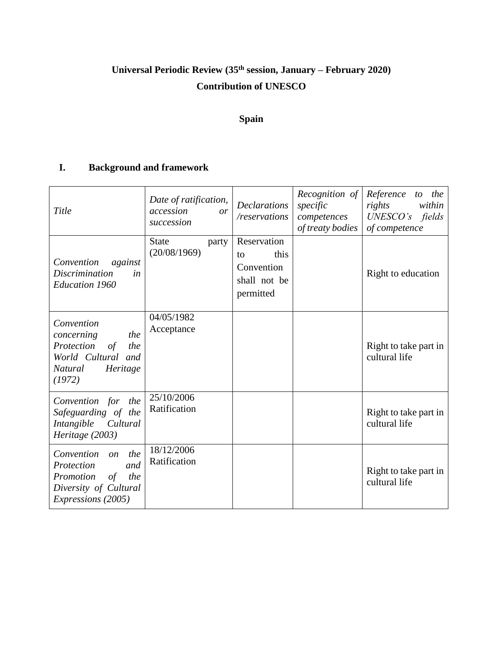# **Universal Periodic Review (35th session, January – February 2020) Contribution of UNESCO**

# **Spain**

# **I. Background and framework**

| Title                                                                                                                                     | Date of ratification,<br>accession<br>or<br>succession | <b>Declarations</b><br>/reservations                                 | Recognition of<br>specific<br>competences<br>of treaty bodies | Reference<br>to the<br>rights<br>within<br>$UNESCO's$ fields<br>of competence |
|-------------------------------------------------------------------------------------------------------------------------------------------|--------------------------------------------------------|----------------------------------------------------------------------|---------------------------------------------------------------|-------------------------------------------------------------------------------|
| Convention<br>against<br><i>Discrimination</i><br>in<br><b>Education 1960</b>                                                             | <b>State</b><br>party<br>(20/08/1969)                  | Reservation<br>this<br>to<br>Convention<br>shall not be<br>permitted |                                                               | Right to education                                                            |
| Convention<br>the<br>concerning<br>Protection<br>$\sigma f$<br>the<br>World Cultural and<br>Heritage<br>Natural<br>(1972)                 | 04/05/1982<br>Acceptance                               |                                                                      |                                                               | Right to take part in<br>cultural life                                        |
| Convention for<br>the<br>Safeguarding of the<br>Intangible<br>Cultural<br>Heritage (2003)                                                 | 25/10/2006<br>Ratification                             |                                                                      |                                                               | Right to take part in<br>cultural life                                        |
| the<br>Convention<br>$\mathfrak{O}n$<br>Protection<br>and<br>Promotion<br>of<br>the<br>Diversity of Cultural<br><i>Expressions</i> (2005) | 18/12/2006<br>Ratification                             |                                                                      |                                                               | Right to take part in<br>cultural life                                        |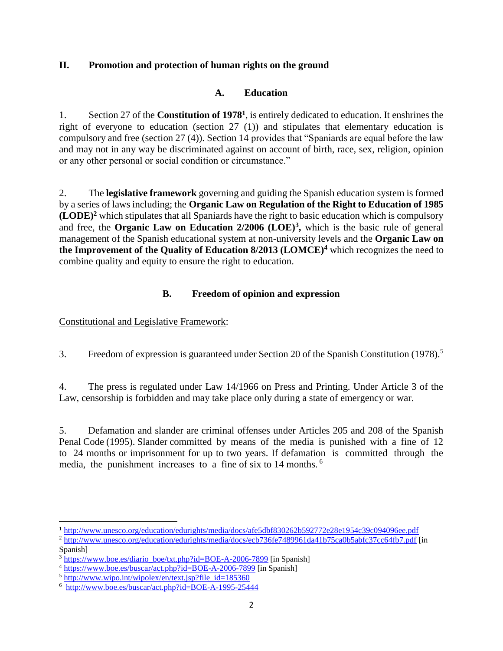## **II. Promotion and protection of human rights on the ground**

## **A. Education**

1. Section 27 of the **Constitution of 1978<sup>1</sup>** , is entirely dedicated to education. It enshrines the right of everyone to education (section 27 (1)) and stipulates that elementary education is compulsory and free (section 27 (4)). Section 14 provides that "Spaniards are equal before the law and may not in any way be discriminated against on account of birth, race, sex, religion, opinion or any other personal or social condition or circumstance."

2. The **legislative framework** governing and guiding the Spanish education system is formed by a series of laws including; the **Organic Law on Regulation of the Right to Education of 1985 (LODE)<sup>2</sup>** which stipulates that all Spaniards have the right to basic education which is compulsory and free, the **Organic Law on Education 2/2006 (LOE)<sup>3</sup> ,** which is the basic rule of general management of the Spanish educational system at non-university levels and the **Organic Law on the Improvement of the Quality of Education 8/2013 (LOMCE)<sup>4</sup>** which recognizes the need to combine quality and equity to ensure the right to education.

## **B. Freedom of opinion and expression**

Constitutional and Legislative Framework:

3. Freedom of expression is guaranteed under Section 20 of the Spanish Constitution (1978).<sup>5</sup>

4. The press is regulated under Law 14/1966 on Press and Printing. Under Article 3 of the Law, censorship is forbidden and may take place only during a state of emergency or war.

5. Defamation and slander are criminal offenses under Articles 205 and 208 of the Spanish Penal Code (1995). Slander committed by means of the media is punished with a fine of 12 to 24 months or imprisonment for up to two years. If defamation is committed through the media, the punishment increases to a fine of six to 14 months. <sup>6</sup>

 $\overline{\phantom{a}}$ <sup>1</sup> <http://www.unesco.org/education/edurights/media/docs/afe5dbf830262b592772e28e1954c39c094096ee.pdf>

<sup>2</sup> <http://www.unesco.org/education/edurights/media/docs/ecb736fe7489961da41b75ca0b5abfc37cc64fb7.pdf> [in Spanish]

 $3 \text{ https://www.boe.es/diario boe/txt.php?id=BOE-A-2006-7899}$  [in Spanish]

<sup>4</sup> <https://www.boe.es/buscar/act.php?id=BOE-A-2006-7899> [in Spanish]

<sup>5</sup> [http://www.wipo.int/wipolex/en/text.jsp?file\\_id=185360](http://www.wipo.int/wipolex/en/text.jsp?file_id=185360) 

<sup>&</sup>lt;sup>6</sup> <http://www.boe.es/buscar/act.php?id=BOE-A-1995-25444>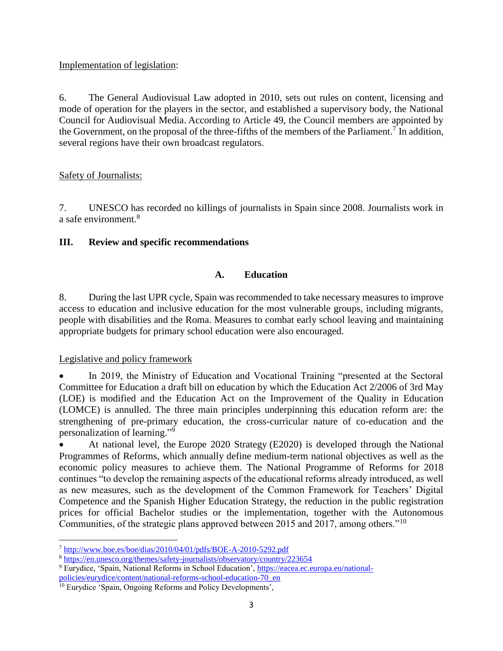#### Implementation of legislation:

6. The General Audiovisual Law adopted in 2010, sets out rules on content, licensing and mode of operation for the players in the sector, and established a supervisory body, the National Council for Audiovisual Media. According to Article 49, the Council members are appointed by the Government, on the proposal of the three-fifths of the members of the Parliament.<sup>7</sup> In addition, several regions have their own broadcast regulators.

## Safety of Journalists:

7. UNESCO has recorded no killings of journalists in Spain since 2008. Journalists work in a safe environment.<sup>8</sup>

## **III. Review and specific recommendations**

## **A. Education**

8. During the last UPR cycle, Spain was recommended to take necessary measures to improve access to education and inclusive education for the most vulnerable groups, including migrants, people with disabilities and the Roma. Measures to combat early school leaving and maintaining appropriate budgets for primary school education were also encouraged.

#### Legislative and policy framework

l

 In 2019, the Ministry of Education and Vocational Training "presented at the Sectoral Committee for Education a draft bill on education by which the Education Act 2/2006 of 3rd May (LOE) is modified and the Education Act on the Improvement of the Quality in Education (LOMCE) is annulled. The three main principles underpinning this education reform are: the strengthening of pre-primary education, the cross-curricular nature of co-education and the personalization of learning."<sup>9</sup>

 At national level, the Europe 2020 Strategy (E2020) is developed through the National Programmes of Reforms, which annually define medium-term national objectives as well as the economic policy measures to achieve them. The National Programme of Reforms for 2018 continues "to develop the remaining aspects of the educational reforms already introduced, as well as new measures, such as the development of the Common Framework for Teachers' Digital Competence and the Spanish Higher Education Strategy, the reduction in the public registration prices for official Bachelor studies or the implementation, together with the Autonomous Communities, of the strategic plans approved between 2015 and 2017, among others."<sup>10</sup>

<sup>7</sup> <http://www.boe.es/boe/dias/2010/04/01/pdfs/BOE-A-2010-5292.pdf>

<sup>8</sup> <https://en.unesco.org/themes/safety-journalists/observatory/country/223654> <sup>9</sup> Eurydice, 'Spain, National Reforms in School Education', [https://eacea.ec.europa.eu/national-](https://eacea.ec.europa.eu/national-policies/eurydice/content/national-reforms-school-education-70_en)

[policies/eurydice/content/national-reforms-school-education-70\\_en](https://eacea.ec.europa.eu/national-policies/eurydice/content/national-reforms-school-education-70_en)

<sup>&</sup>lt;sup>10</sup> Eurydice 'Spain, Ongoing Reforms and Policy Developments',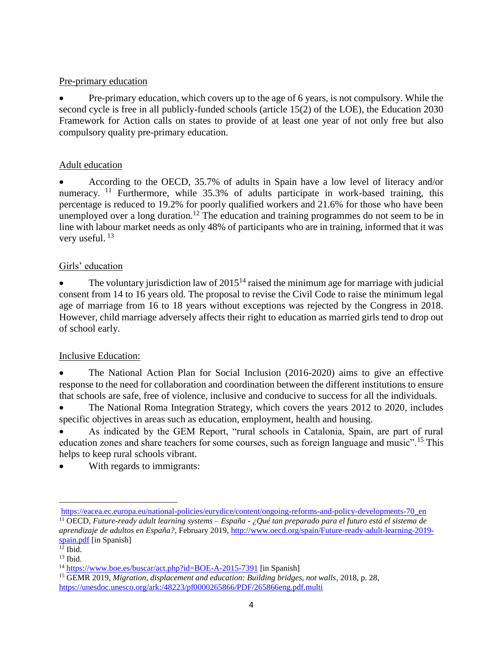#### Pre-primary education

 Pre-primary education, which covers up to the age of 6 years, is not compulsory. While the second cycle is free in all publicly-funded schools (article 15(2) of the LOE), the Education 2030 Framework for Action calls on states to provide of at least one year of not only free but also compulsory quality pre-primary education.

## Adult education

 According to the OECD, 35.7% of adults in Spain have a low level of literacy and/or numeracy. <sup>11</sup> Furthermore, while 35.3% of adults participate in work-based training, this percentage is reduced to 19.2% for poorly qualified workers and 21.6% for those who have been unemployed over a long duration.<sup>12</sup> The education and training programmes do not seem to be in line with labour market needs as only 48% of participants who are in training, informed that it was very useful.  $^{13}$ 

## Girls' education

The voluntary jurisdiction law of  $2015<sup>14</sup>$  raised the minimum age for marriage with judicial consent from 14 to 16 years old. The proposal to revise the Civil Code to raise the minimum legal age of marriage from 16 to 18 years without exceptions was rejected by the Congress in 2018. However, child marriage adversely affects their right to education as married girls tend to drop out of school early.

#### Inclusive Education:

 The National Action Plan for Social Inclusion (2016-2020) aims to give an effective response to the need for collaboration and coordination between the different institutions to ensure that schools are safe, free of violence, inclusive and conducive to success for all the individuals.

 The National Roma Integration Strategy, which covers the years 2012 to 2020, includes specific objectives in areas such as education, employment, health and housing.

 As indicated by the GEM Report, "rural schools in Catalonia, Spain, are part of rural education zones and share teachers for some courses, such as foreign language and music".<sup>15</sup> This helps to keep rural schools vibrant.

With regards to immigrants:

 $\overline{\phantom{a}}$ 

[https://eacea.ec.europa.eu/national-policies/eurydice/content/ongoing-reforms-and-policy-developments-70\\_en](https://eacea.ec.europa.eu/national-policies/eurydice/content/ongoing-reforms-and-policy-developments-70_en)

<sup>11</sup> OECD, *Future-ready adult learning systems – España - ¿Qué tan preparado para el futuro está el sistema de aprendizaje de adultos en España?*, February 2019, [http://www.oecd.org/spain/Future-ready-adult-learning-2019](http://www.oecd.org/spain/Future-ready-adult-learning-2019-spain.pdf) [spain.pdf](http://www.oecd.org/spain/Future-ready-adult-learning-2019-spain.pdf) [in Spanish]

 $12$  Ibid.  $13$  Ibid.

<sup>&</sup>lt;sup>14</sup> <https://www.boe.es/buscar/act.php?id=BOE-A-2015-7391> [in Spanish]

<sup>&</sup>lt;sup>15</sup> GEMR 2019, *Migration, displacement and education: Building bridges, not walls*, 2018, p. 28, <https://unesdoc.unesco.org/ark:/48223/pf0000265866/PDF/265866eng.pdf.multi>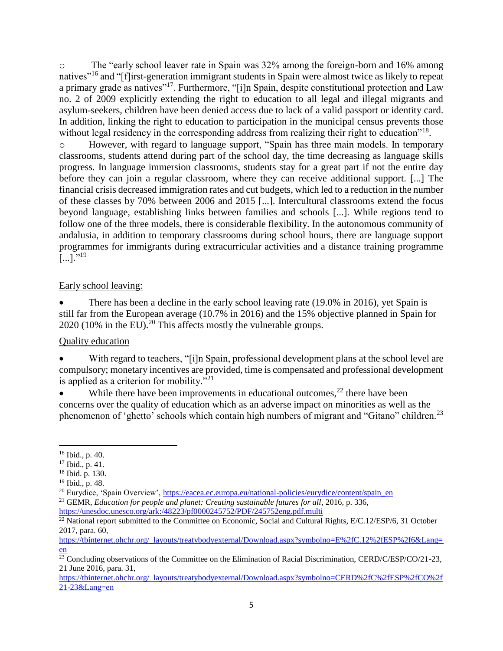o The "early school leaver rate in Spain was 32% among the foreign-born and 16% among natives"<sup>16</sup> and "[f]irst-generation immigrant students in Spain were almost twice as likely to repeat a primary grade as natives"<sup>17</sup>. Furthermore, "[i]n Spain, despite constitutional protection and Law no. 2 of 2009 explicitly extending the right to education to all legal and illegal migrants and asylum-seekers, children have been denied access due to lack of a valid passport or identity card. In addition, linking the right to education to participation in the municipal census prevents those without legal residency in the corresponding address from realizing their right to education"<sup>18</sup>.

o However, with regard to language support, "Spain has three main models. In temporary classrooms, students attend during part of the school day, the time decreasing as language skills progress. In language immersion classrooms, students stay for a great part if not the entire day before they can join a regular classroom, where they can receive additional support. [...] The financial crisis decreased immigration rates and cut budgets, which led to a reduction in the number of these classes by 70% between 2006 and 2015 [...]. Intercultural classrooms extend the focus beyond language, establishing links between families and schools [...]. While regions tend to follow one of the three models, there is considerable flexibility. In the autonomous community of andalusia, in addition to temporary classrooms during school hours, there are language support programmes for immigrants during extracurricular activities and a distance training programme  $[...]$ ."<sup>19</sup>

#### Early school leaving:

 There has been a decline in the early school leaving rate (19.0% in 2016), yet Spain is still far from the European average (10.7% in 2016) and the 15% objective planned in Spain for  $2020$  (10% in the EU).<sup>20</sup> This affects mostly the vulnerable groups.

## Quality education

With regard to teachers, "[i]n Spain, professional development plans at the school level are compulsory; monetary incentives are provided, time is compensated and professional development is applied as a criterion for mobility. $\sqrt{21}$ 

While there have been improvements in educational outcomes, $^{22}$  there have been concerns over the quality of education which as an adverse impact on minorities as well as the phenomenon of 'ghetto' schools which contain high numbers of migrant and "Gitano" children.<sup>23</sup>

 $\overline{\phantom{a}}$ 

<sup>16</sup> Ibid., p. 40.

<sup>17</sup> Ibid., p. 41.

<sup>18</sup> Ibid. p. 130.

<sup>19</sup> Ibid., p. 48.

<sup>&</sup>lt;sup>20</sup> Eurydice, 'Spain Overview', [https://eacea.ec.europa.eu/national-policies/eurydice/content/spain\\_en](https://eacea.ec.europa.eu/national-policies/eurydice/content/spain_en)

<sup>&</sup>lt;sup>21</sup> GEMR, *Education for people and planet: Creating sustainable futures for all*, 2016, p. 336, <https://unesdoc.unesco.org/ark:/48223/pf0000245752/PDF/245752eng.pdf.multi>

<sup>&</sup>lt;sup>22</sup> National report submitted to the Committee on Economic, Social and Cultural Rights, E/C.12/ESP/6, 31 October 2017, para. 60,

[https://tbinternet.ohchr.org/\\_layouts/treatybodyexternal/Download.aspx?symbolno=E%2fC.12%2fESP%2f6&Lang=](https://tbinternet.ohchr.org/_layouts/treatybodyexternal/Download.aspx?symbolno=E%2fC.12%2fESP%2f6&Lang=en) [en](https://tbinternet.ohchr.org/_layouts/treatybodyexternal/Download.aspx?symbolno=E%2fC.12%2fESP%2f6&Lang=en)

<sup>&</sup>lt;sup>23</sup> Concluding observations of the Committee on the Elimination of Racial Discrimination, CERD/C/ESP/CO/21-23, 21 June 2016, para. 31,

[https://tbinternet.ohchr.org/\\_layouts/treatybodyexternal/Download.aspx?symbolno=CERD%2fC%2fESP%2fCO%2f](https://tbinternet.ohchr.org/_layouts/treatybodyexternal/Download.aspx?symbolno=CERD%2fC%2fESP%2fCO%2f21-23&Lang=en) [21-23&Lang=en](https://tbinternet.ohchr.org/_layouts/treatybodyexternal/Download.aspx?symbolno=CERD%2fC%2fESP%2fCO%2f21-23&Lang=en)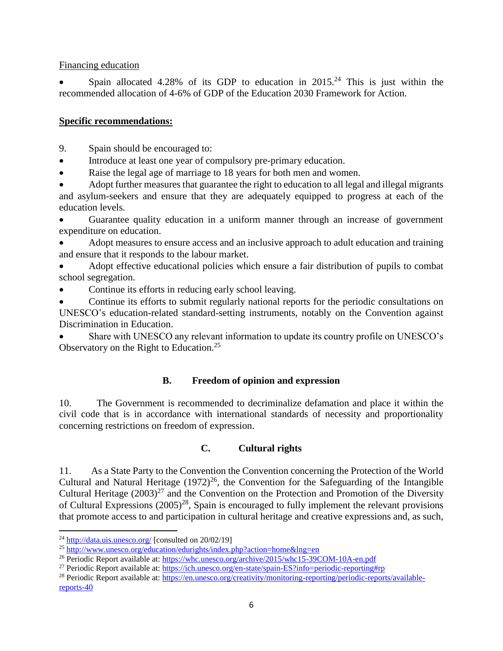#### Financing education

Spain allocated 4.28% of its GDP to education in  $2015<sup>24</sup>$  This is just within the recommended allocation of 4-6% of GDP of the Education 2030 Framework for Action.

#### **Specific recommendations:**

9. Spain should be encouraged to:

- Introduce at least one year of compulsory pre-primary education.
- Raise the legal age of marriage to 18 years for both men and women.

 Adopt further measures that guarantee the right to education to all legal and illegal migrants and asylum-seekers and ensure that they are adequately equipped to progress at each of the education levels.

 Guarantee quality education in a uniform manner through an increase of government expenditure on education.

 Adopt measures to ensure access and an inclusive approach to adult education and training and ensure that it responds to the labour market.

 Adopt effective educational policies which ensure a fair distribution of pupils to combat school segregation.

Continue its efforts in reducing early school leaving.

• Continue its efforts to submit regularly national reports for the periodic consultations on UNESCO's education-related standard-setting instruments, notably on the Convention against Discrimination in Education.

 Share with UNESCO any relevant information to update its country profile on UNESCO's Observatory on the Right to Education.<sup>25</sup>

#### **B. Freedom of opinion and expression**

10. The Government is recommended to decriminalize defamation and place it within the civil code that is in accordance with international standards of necessity and proportionality concerning restrictions on freedom of expression.

#### **C. Cultural rights**

11. As a State Party to the Convention the Convention concerning the Protection of the World Cultural and Natural Heritage  $(1972)^{26}$ , the Convention for the Safeguarding of the Intangible Cultural Heritage  $(2003)^{27}$  and the Convention on the Protection and Promotion of the Diversity of Cultural Expressions  $(2005)^{28}$ , Spain is encouraged to fully implement the relevant provisions that promote access to and participation in cultural heritage and creative expressions and, as such,

 $\overline{\phantom{a}}$ 

 $^{24}$  <http://data.uis.unesco.org/> [consulted on 20/02/19]

<sup>&</sup>lt;sup>25</sup> <http://www.unesco.org/education/edurights/index.php?action=home&lng=en>

<sup>26</sup> Periodic Report available at[: https://whc.unesco.org/archive/2015/whc15-39COM-10A-en.pdf](https://whc.unesco.org/archive/2015/whc15-39COM-10A-en.pdf)

<sup>27</sup> Periodic Report available at[: https://ich.unesco.org/en-state/spain-ES?info=periodic-reporting#rp](https://ich.unesco.org/en-state/spain-ES?info=periodic-reporting#rp) 

<sup>&</sup>lt;sup>28</sup> Periodic Report available at[: https://en.unesco.org/creativity/monitoring-reporting/periodic-reports/available](https://en.unesco.org/creativity/monitoring-reporting/periodic-reports/available-reports-40)[reports-40](https://en.unesco.org/creativity/monitoring-reporting/periodic-reports/available-reports-40)